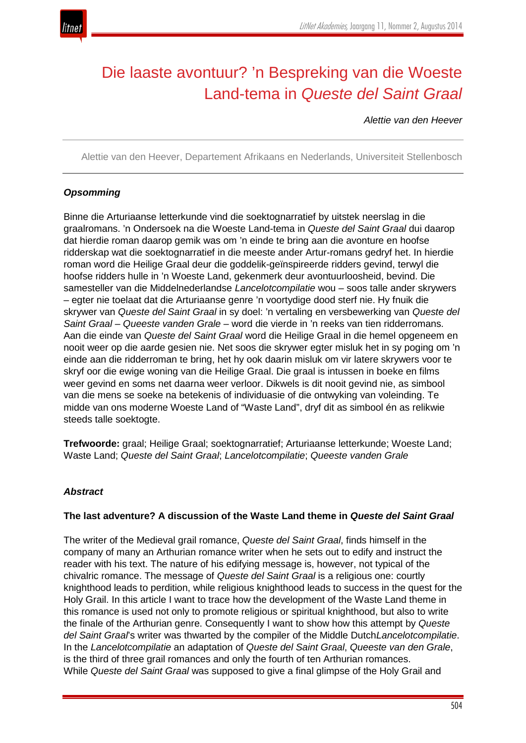

# Die laaste avontuur? 'n Bespreking van die Woeste Land-tema in *Queste del Saint Graal*

*Alettie van den Heever*

Alettie van den Heever, Departement Afrikaans en Nederlands, Universiteit Stellenbosch

## *Opsomming*

Binne die Arturiaanse letterkunde vind die soektognarratief by uitstek neerslag in die graalromans. 'n Ondersoek na die Woeste Land-tema in *Queste del Saint Graal* dui daarop dat hierdie roman daarop gemik was om 'n einde te bring aan die avonture en hoofse ridderskap wat die soektognarratief in die meeste ander Artur-romans gedryf het. In hierdie roman word die Heilige Graal deur die goddelik-geïnspireerde ridders gevind, terwyl die hoofse ridders hulle in 'n Woeste Land, gekenmerk deur avontuurloosheid, bevind. Die samesteller van die Middelnederlandse *Lancelotcompilatie* wou – soos talle ander skrywers – egter nie toelaat dat die Arturiaanse genre 'n voortydige dood sterf nie. Hy fnuik die skrywer van *Queste del Saint Graal* in sy doel: 'n vertaling en versbewerking van *Queste del Saint Graal* – *Queeste vanden Grale* – word die vierde in 'n reeks van tien ridderromans. Aan die einde van *Queste del Saint Graal* word die Heilige Graal in die hemel opgeneem en nooit weer op die aarde gesien nie. Net soos die skrywer egter misluk het in sy poging om 'n einde aan die ridderroman te bring, het hy ook daarin misluk om vir latere skrywers voor te skryf oor die ewige woning van die Heilige Graal. Die graal is intussen in boeke en films weer gevind en soms net daarna weer verloor. Dikwels is dit nooit gevind nie, as simbool van die mens se soeke na betekenis of individuasie of die ontwyking van voleinding. Te midde van ons moderne Woeste Land of "Waste Land", dryf dit as simbool én as relikwie steeds talle soektogte.

**Trefwoorde:** graal; Heilige Graal; soektognarratief; Arturiaanse letterkunde; Woeste Land; Waste Land; *Queste del Saint Graal*; *Lancelotcompilatie*; *Queeste vanden Grale*

### *Abstract*

### **The last adventure? A discussion of the Waste Land theme in** *Queste del Saint Graal*

The writer of the Medieval grail romance, *Queste del Saint Graal*, finds himself in the company of many an Arthurian romance writer when he sets out to edify and instruct the reader with his text. The nature of his edifying message is, however, not typical of the chivalric romance. The message of *Queste del Saint Graal* is a religious one: courtly knighthood leads to perdition, while religious knighthood leads to success in the quest for the Holy Grail. In this article I want to trace how the development of the Waste Land theme in this romance is used not only to promote religious or spiritual knighthood, but also to write the finale of the Arthurian genre. Consequently I want to show how this attempt by *Queste del Saint Graal*'s writer was thwarted by the compiler of the Middle Dutch*Lancelotcompilatie*. In the *Lancelotcompilatie* an adaptation of *Queste del Saint Graal*, *Queeste van den Grale*, is the third of three grail romances and only the fourth of ten Arthurian romances. While *Queste del Saint Graal* was supposed to give a final glimpse of the Holy Grail and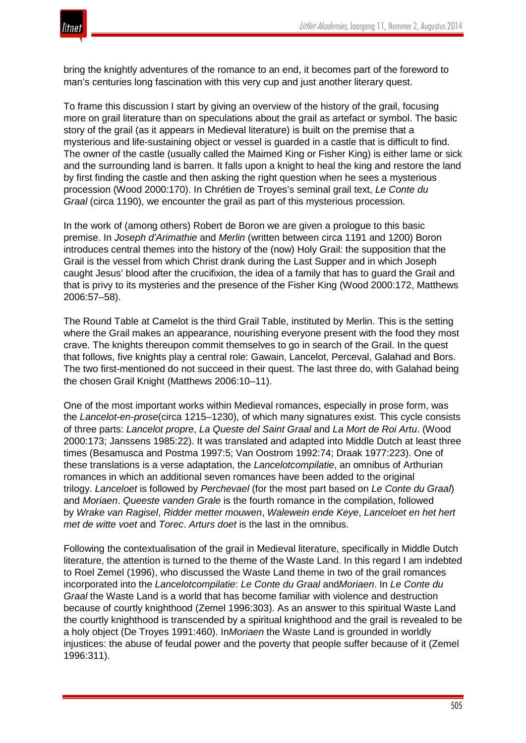

bring the knightly adventures of the romance to an end, it becomes part of the foreword to man's centuries long fascination with this very cup and just another literary quest.

To frame this discussion I start by giving an overview of the history of the grail, focusing more on grail literature than on speculations about the grail as artefact or symbol. The basic story of the grail (as it appears in Medieval literature) is built on the premise that a mysterious and life-sustaining object or vessel is guarded in a castle that is difficult to find. The owner of the castle (usually called the Maimed King or Fisher King) is either lame or sick and the surrounding land is barren. It falls upon a knight to heal the king and restore the land by first finding the castle and then asking the right question when he sees a mysterious procession (Wood 2000:170). In Chrétien de Troyes's seminal grail text, *Le Conte du Graal* (circa 1190), we encounter the grail as part of this mysterious procession.

In the work of (among others) Robert de Boron we are given a prologue to this basic premise. In *Joseph d'Arimathie* and *Merlin* (written between circa 1191 and 1200) Boron introduces central themes into the history of the (now) Holy Grail: the supposition that the Grail is the vessel from which Christ drank during the Last Supper and in which Joseph caught Jesus' blood after the crucifixion, the idea of a family that has to guard the Grail and that is privy to its mysteries and the presence of the Fisher King (Wood 2000:172, Matthews 2006:57–58).

The Round Table at Camelot is the third Grail Table, instituted by Merlin. This is the setting where the Grail makes an appearance, nourishing everyone present with the food they most crave. The knights thereupon commit themselves to go in search of the Grail. In the quest that follows, five knights play a central role: Gawain, Lancelot, Perceval, Galahad and Bors. The two first-mentioned do not succeed in their quest. The last three do, with Galahad being the chosen Grail Knight (Matthews 2006:10–11).

One of the most important works within Medieval romances, especially in prose form, was the *Lancelot-en-prose*(circa 1215–1230), of which many signatures exist. This cycle consists of three parts: *Lancelot propre*, *La Queste del Saint Graal* and *La Mort de Roi Artu*. (Wood 2000:173; Janssens 1985:22). It was translated and adapted into Middle Dutch at least three times (Besamusca and Postma 1997:5; Van Oostrom 1992:74; Draak 1977:223). One of these translations is a verse adaptation, the *Lancelotcompilatie*, an omnibus of Arthurian romances in which an additional seven romances have been added to the original trilogy. *Lanceloet* is followed by *Perchevael* (for the most part based on *Le Conte du Graal*) and *Moriaen*. *Queeste vanden Grale* is the fourth romance in the compilation, followed by *Wrake van Ragisel*, *Ridder metter mouwen*, *Walewein ende Keye*, *Lanceloet en het hert met de witte voet* and *Torec*. *Arturs doet* is the last in the omnibus.

Following the contextualisation of the grail in Medieval literature, specifically in Middle Dutch literature, the attention is turned to the theme of the Waste Land. In this regard I am indebted to Roel Zemel (1996), who discussed the Waste Land theme in two of the grail romances incorporated into the *Lancelotcompilatie*: *Le Conte du Graal* and*Moriaen*. In *Le Conte du Graal* the Waste Land is a world that has become familiar with violence and destruction because of courtly knighthood (Zemel 1996:303). As an answer to this spiritual Waste Land the courtly knighthood is transcended by a spiritual knighthood and the grail is revealed to be a holy object (De Troyes 1991:460). In*Moriaen* the Waste Land is grounded in worldly injustices: the abuse of feudal power and the poverty that people suffer because of it (Zemel 1996:311).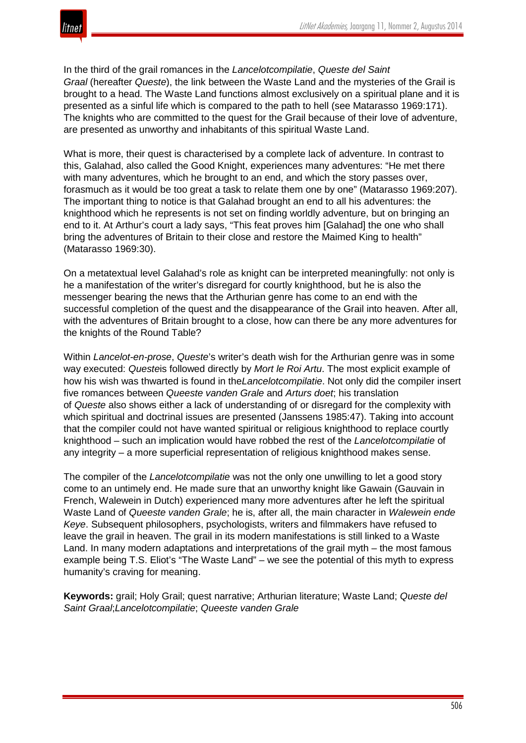

In the third of the grail romances in the *Lancelotcompilatie*, *Queste del Saint Graal* (hereafter *Queste*), the link between the Waste Land and the mysteries of the Grail is brought to a head. The Waste Land functions almost exclusively on a spiritual plane and it is presented as a sinful life which is compared to the path to hell (see Matarasso 1969:171). The knights who are committed to the quest for the Grail because of their love of adventure, are presented as unworthy and inhabitants of this spiritual Waste Land.

What is more, their quest is characterised by a complete lack of adventure. In contrast to this, Galahad, also called the Good Knight, experiences many adventures: "He met there with many adventures, which he brought to an end, and which the story passes over, forasmuch as it would be too great a task to relate them one by one" (Matarasso 1969:207). The important thing to notice is that Galahad brought an end to all his adventures: the knighthood which he represents is not set on finding worldly adventure, but on bringing an end to it. At Arthur's court a lady says, "This feat proves him [Galahad] the one who shall bring the adventures of Britain to their close and restore the Maimed King to health" (Matarasso 1969:30).

On a metatextual level Galahad's role as knight can be interpreted meaningfully: not only is he a manifestation of the writer's disregard for courtly knighthood, but he is also the messenger bearing the news that the Arthurian genre has come to an end with the successful completion of the quest and the disappearance of the Grail into heaven. After all, with the adventures of Britain brought to a close, how can there be any more adventures for the knights of the Round Table?

Within *Lancelot-en-prose*, *Queste*'s writer's death wish for the Arthurian genre was in some way executed: *Queste*is followed directly by *Mort le Roi Artu*. The most explicit example of how his wish was thwarted is found in the*Lancelotcompilatie*. Not only did the compiler insert five romances between *Queeste vanden Grale* and *Arturs doet*; his translation of *Queste* also shows either a lack of understanding of or disregard for the complexity with which spiritual and doctrinal issues are presented (Janssens 1985:47). Taking into account that the compiler could not have wanted spiritual or religious knighthood to replace courtly knighthood – such an implication would have robbed the rest of the *Lancelotcompilatie* of any integrity – a more superficial representation of religious knighthood makes sense.

The compiler of the *Lancelotcompilatie* was not the only one unwilling to let a good story come to an untimely end. He made sure that an unworthy knight like Gawain (Gauvain in French, Walewein in Dutch) experienced many more adventures after he left the spiritual Waste Land of *Queeste vanden Grale*; he is, after all, the main character in *Walewein ende Keye*. Subsequent philosophers, psychologists, writers and filmmakers have refused to leave the grail in heaven. The grail in its modern manifestations is still linked to a Waste Land. In many modern adaptations and interpretations of the grail myth – the most famous example being T.S. Eliot's "The Waste Land" – we see the potential of this myth to express humanity's craving for meaning.

**Keywords:** grail; Holy Grail; quest narrative; Arthurian literature; Waste Land; *Queste del Saint Graal*;*Lancelotcompilatie*; *Queeste vanden Grale*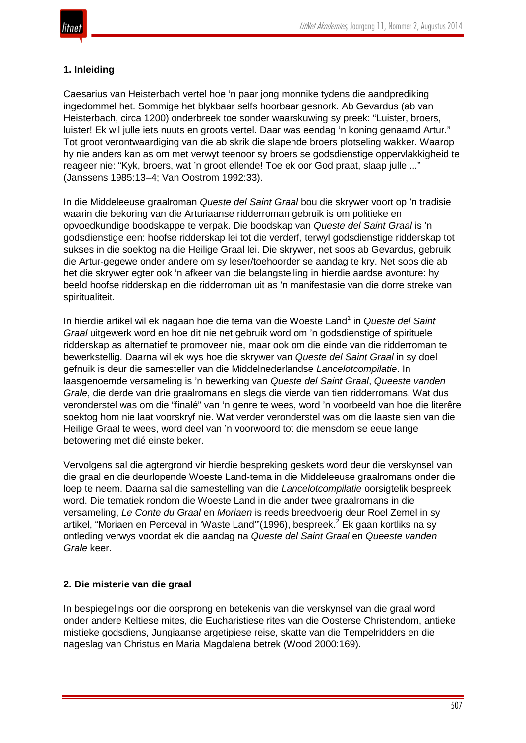## **1. Inleiding**

Caesarius van Heisterbach vertel hoe 'n paar jong monnike tydens die aandprediking ingedommel het. Sommige het blykbaar selfs hoorbaar gesnork. Ab Gevardus (ab van Heisterbach, circa 1200) onderbreek toe sonder waarskuwing sy preek: "Luister, broers, luister! Ek wil julle iets nuuts en groots vertel. Daar was eendag 'n koning genaamd Artur." Tot groot verontwaardiging van die ab skrik die slapende broers plotseling wakker. Waarop hy nie anders kan as om met verwyt teenoor sy broers se godsdienstige oppervlakkigheid te reageer nie: "Kyk, broers, wat 'n groot ellende! Toe ek oor God praat, slaap julle ..." (Janssens 1985:13–4; Van Oostrom 1992:33).

In die Middeleeuse graalroman *Queste del Saint Graal* bou die skrywer voort op 'n tradisie waarin die bekoring van die Arturiaanse ridderroman gebruik is om politieke en opvoedkundige boodskappe te verpak. Die boodskap van *Queste del Saint Graal* is 'n godsdienstige een: hoofse ridderskap lei tot die verderf, terwyl godsdienstige ridderskap tot sukses in die soektog na die Heilige Graal lei. Die skrywer, net soos ab Gevardus, gebruik die Artur-gegewe onder andere om sy leser/toehoorder se aandag te kry. Net soos die ab het die skrywer egter ook 'n afkeer van die belangstelling in hierdie aardse avonture: hy beeld hoofse ridderskap en die ridderroman uit as 'n manifestasie van die dorre streke van spiritualiteit.

In hierdie artikel wil ek nagaan hoe die tema van die Woeste Land<sup>1</sup> in *Queste del Saint Graal* uitgewerk word en hoe dit nie net gebruik word om 'n godsdienstige of spirituele ridderskap as alternatief te promoveer nie, maar ook om die einde van die ridderroman te bewerkstellig. Daarna wil ek wys hoe die skrywer van *Queste del Saint Graal* in sy doel gefnuik is deur die samesteller van die Middelnederlandse *Lancelotcompilatie*. In laasgenoemde versameling is 'n bewerking van *Queste del Saint Graal*, *Queeste vanden Grale*, die derde van drie graalromans en slegs die vierde van tien ridderromans. Wat dus veronderstel was om die "finalé" van 'n genre te wees, word 'n voorbeeld van hoe die literêre soektog hom nie laat voorskryf nie. Wat verder veronderstel was om die laaste sien van die Heilige Graal te wees, word deel van 'n voorwoord tot die mensdom se eeue lange betowering met dié einste beker.

Vervolgens sal die agtergrond vir hierdie bespreking geskets word deur die verskynsel van die graal en die deurlopende Woeste Land-tema in die Middeleeuse graalromans onder die loep te neem. Daarna sal die samestelling van die *Lancelotcompilatie* oorsigtelik bespreek word. Die tematiek rondom die Woeste Land in die ander twee graalromans in die versameling, *Le Conte du Graal* en *Moriaen* is reeds breedvoerig deur Roel Zemel in sy artikel, "Moriaen en Perceval in 'Waste Land'"(1996), bespreek.<sup>2</sup> Ek gaan kortliks na sy ontleding verwys voordat ek die aandag na *Queste del Saint Graal* en *Queeste vanden Grale* keer.

## **2. Die misterie van die graal**

In bespiegelings oor die oorsprong en betekenis van die verskynsel van die graal word onder andere Keltiese mites, die Eucharistiese rites van die Oosterse Christendom, antieke mistieke godsdiens, Jungiaanse argetipiese reise, skatte van die Tempelridders en die nageslag van Christus en Maria Magdalena betrek (Wood 2000:169).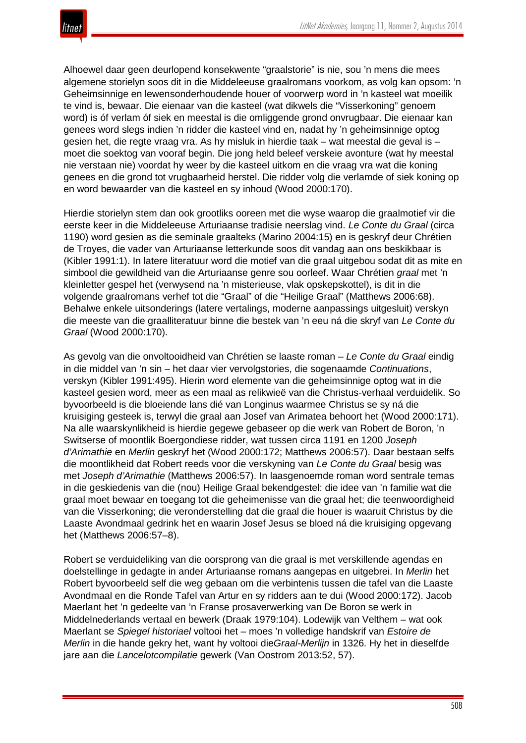

Alhoewel daar geen deurlopend konsekwente "graalstorie" is nie, sou 'n mens die mees algemene storielyn soos dit in die Middeleeuse graalromans voorkom, as volg kan opsom: 'n Geheimsinnige en lewensonderhoudende houer of voorwerp word in 'n kasteel wat moeilik te vind is, bewaar. Die eienaar van die kasteel (wat dikwels die "Visserkoning" genoem word) is óf verlam óf siek en meestal is die omliggende grond onvrugbaar. Die eienaar kan genees word slegs indien 'n ridder die kasteel vind en, nadat hy 'n geheimsinnige optog gesien het, die regte vraag vra. As hy misluk in hierdie taak – wat meestal die geval is – moet die soektog van vooraf begin. Die jong held beleef verskeie avonture (wat hy meestal nie verstaan nie) voordat hy weer by die kasteel uitkom en die vraag vra wat die koning genees en die grond tot vrugbaarheid herstel. Die ridder volg die verlamde of siek koning op en word bewaarder van die kasteel en sy inhoud (Wood 2000:170).

Hierdie storielyn stem dan ook grootliks ooreen met die wyse waarop die graalmotief vir die eerste keer in die Middeleeuse Arturiaanse tradisie neerslag vind. *Le Conte du Graal* (circa 1190) word gesien as die seminale graalteks (Marino 2004:15) en is geskryf deur Chrétien de Troyes, die vader van Arturiaanse letterkunde soos dit vandag aan ons beskikbaar is (Kibler 1991:1). In latere literatuur word die motief van die graal uitgebou sodat dit as mite en simbool die gewildheid van die Arturiaanse genre sou oorleef. Waar Chrétien *graal* met 'n kleinletter gespel het (verwysend na 'n misterieuse, vlak opskepskottel), is dit in die volgende graalromans verhef tot die "Graal" of die "Heilige Graal" (Matthews 2006:68). Behalwe enkele uitsonderings (latere vertalings, moderne aanpassings uitgesluit) verskyn die meeste van die graalliteratuur binne die bestek van 'n eeu ná die skryf van *Le Conte du Graal* (Wood 2000:170).

As gevolg van die onvoltooidheid van Chrétien se laaste roman – *Le Conte du Graal* eindig in die middel van 'n sin – het daar vier vervolgstories, die sogenaamde *Continuations*, verskyn (Kibler 1991:495). Hierin word elemente van die geheimsinnige optog wat in die kasteel gesien word, meer as een maal as relikwieë van die Christus-verhaal verduidelik. So byvoorbeeld is die bloeiende lans dié van Longinus waarmee Christus se sy ná die kruisiging gesteek is, terwyl die graal aan Josef van Arimatea behoort het (Wood 2000:171). Na alle waarskynlikheid is hierdie gegewe gebaseer op die werk van Robert de Boron, 'n Switserse of moontlik Boergondiese ridder, wat tussen circa 1191 en 1200 *Joseph d'Arimathie* en *Merlin* geskryf het (Wood 2000:172; Matthews 2006:57). Daar bestaan selfs die moontlikheid dat Robert reeds voor die verskyning van *Le Conte du Graal* besig was met *Joseph d'Arimathie* (Matthews 2006:57). In laasgenoemde roman word sentrale temas in die geskiedenis van die (nou) Heilige Graal bekendgestel: die idee van 'n familie wat die graal moet bewaar en toegang tot die geheimenisse van die graal het; die teenwoordigheid van die Visserkoning; die veronderstelling dat die graal die houer is waaruit Christus by die Laaste Avondmaal gedrink het en waarin Josef Jesus se bloed ná die kruisiging opgevang het (Matthews 2006:57–8).

Robert se verduideliking van die oorsprong van die graal is met verskillende agendas en doelstellinge in gedagte in ander Arturiaanse romans aangepas en uitgebrei. In *Merlin* het Robert byvoorbeeld self die weg gebaan om die verbintenis tussen die tafel van die Laaste Avondmaal en die Ronde Tafel van Artur en sy ridders aan te dui (Wood 2000:172). Jacob Maerlant het 'n gedeelte van 'n Franse prosaverwerking van De Boron se werk in Middelnederlands vertaal en bewerk (Draak 1979:104). Lodewijk van Velthem – wat ook Maerlant se *Spiegel historiael* voltooi het – moes 'n volledige handskrif van *Estoire de Merlin* in die hande gekry het, want hy voltooi die*Graal-Merlijn* in 1326. Hy het in dieselfde jare aan die *Lancelotcompilatie* gewerk (Van Oostrom 2013:52, 57).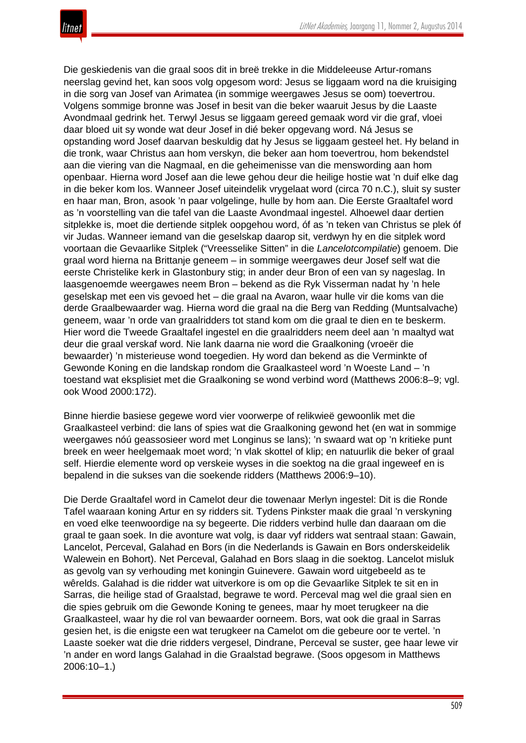Die geskiedenis van die graal soos dit in breë trekke in die Middeleeuse Artur-romans neerslag gevind het, kan soos volg opgesom word: Jesus se liggaam word na die kruisiging in die sorg van Josef van Arimatea (in sommige weergawes Jesus se oom) toevertrou. Volgens sommige bronne was Josef in besit van die beker waaruit Jesus by die Laaste Avondmaal gedrink het. Terwyl Jesus se liggaam gereed gemaak word vir die graf, vloei daar bloed uit sy wonde wat deur Josef in dié beker opgevang word. Ná Jesus se opstanding word Josef daarvan beskuldig dat hy Jesus se liggaam gesteel het. Hy beland in die tronk, waar Christus aan hom verskyn, die beker aan hom toevertrou, hom bekendstel aan die viering van die Nagmaal, en die geheimenisse van die menswording aan hom openbaar. Hierna word Josef aan die lewe gehou deur die heilige hostie wat 'n duif elke dag in die beker kom los. Wanneer Josef uiteindelik vrygelaat word (circa 70 n.C.), sluit sy suster en haar man, Bron, asook 'n paar volgelinge, hulle by hom aan. Die Eerste Graaltafel word as 'n voorstelling van die tafel van die Laaste Avondmaal ingestel. Alhoewel daar dertien sitplekke is, moet die dertiende sitplek oopgehou word, óf as 'n teken van Christus se plek óf vir Judas. Wanneer iemand van die geselskap daarop sit, verdwyn hy en die sitplek word voortaan die Gevaarlike Sitplek ("Vreesselike Sitten" in die *Lancelotcompilatie*) genoem. Die graal word hierna na Brittanje geneem – in sommige weergawes deur Josef self wat die eerste Christelike kerk in Glastonbury stig; in ander deur Bron of een van sy nageslag. In laasgenoemde weergawes neem Bron – bekend as die Ryk Visserman nadat hy 'n hele geselskap met een vis gevoed het – die graal na Avaron, waar hulle vir die koms van die derde Graalbewaarder wag. Hierna word die graal na die Berg van Redding (Muntsalvache) geneem, waar 'n orde van graalridders tot stand kom om die graal te dien en te beskerm. Hier word die Tweede Graaltafel ingestel en die graalridders neem deel aan 'n maaltyd wat deur die graal verskaf word. Nie lank daarna nie word die Graalkoning (vroeër die bewaarder) 'n misterieuse wond toegedien. Hy word dan bekend as die Verminkte of Gewonde Koning en die landskap rondom die Graalkasteel word 'n Woeste Land – 'n toestand wat eksplisiet met die Graalkoning se wond verbind word (Matthews 2006:8–9; vgl. ook Wood 2000:172).

Binne hierdie basiese gegewe word vier voorwerpe of relikwieë gewoonlik met die Graalkasteel verbind: die lans of spies wat die Graalkoning gewond het (en wat in sommige weergawes nóú geassosieer word met Longinus se lans); 'n swaard wat op 'n kritieke punt breek en weer heelgemaak moet word; 'n vlak skottel of klip; en natuurlik die beker of graal self. Hierdie elemente word op verskeie wyses in die soektog na die graal ingeweef en is bepalend in die sukses van die soekende ridders (Matthews 2006:9–10).

Die Derde Graaltafel word in Camelot deur die towenaar Merlyn ingestel: Dit is die Ronde Tafel waaraan koning Artur en sy ridders sit. Tydens Pinkster maak die graal 'n verskyning en voed elke teenwoordige na sy begeerte. Die ridders verbind hulle dan daaraan om die graal te gaan soek. In die avonture wat volg, is daar vyf ridders wat sentraal staan: Gawain, Lancelot, Perceval, Galahad en Bors (in die Nederlands is Gawain en Bors onderskeidelik Walewein en Bohort). Net Perceval, Galahad en Bors slaag in die soektog. Lancelot misluk as gevolg van sy verhouding met koningin Guinevere. Gawain word uitgebeeld as te wêrelds. Galahad is die ridder wat uitverkore is om op die Gevaarlike Sitplek te sit en in Sarras, die heilige stad of Graalstad, begrawe te word. Perceval mag wel die graal sien en die spies gebruik om die Gewonde Koning te genees, maar hy moet terugkeer na die Graalkasteel, waar hy die rol van bewaarder oorneem. Bors, wat ook die graal in Sarras gesien het, is die enigste een wat terugkeer na Camelot om die gebeure oor te vertel. 'n Laaste soeker wat die drie ridders vergesel, Dindrane, Perceval se suster, gee haar lewe vir 'n ander en word langs Galahad in die Graalstad begrawe. (Soos opgesom in Matthews 2006:10–1.)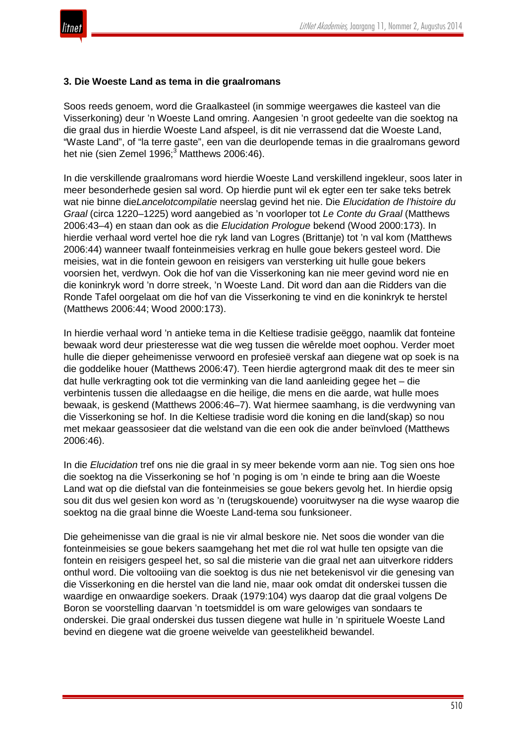

#### **3. Die Woeste Land as tema in die graalromans**

Soos reeds genoem, word die Graalkasteel (in sommige weergawes die kasteel van die Visserkoning) deur 'n Woeste Land omring. Aangesien 'n groot gedeelte van die soektog na die graal dus in hierdie Woeste Land afspeel, is dit nie verrassend dat die Woeste Land, "Waste Land", of "la terre gaste", een van die deurlopende temas in die graalromans geword het nie (sien Zemel 1996;<sup>3</sup> Matthews 2006:46).

In die verskillende graalromans word hierdie Woeste Land verskillend ingekleur, soos later in meer besonderhede gesien sal word. Op hierdie punt wil ek egter een ter sake teks betrek wat nie binne die*Lancelotcompilatie* neerslag gevind het nie. Die *Elucidation de l'histoire du Graal* (circa 1220–1225) word aangebied as 'n voorloper tot *Le Conte du Graal* (Matthews 2006:43–4) en staan dan ook as die *Elucidation Prologue* bekend (Wood 2000:173). In hierdie verhaal word vertel hoe die ryk land van Logres (Brittanje) tot 'n val kom (Matthews 2006:44) wanneer twaalf fonteinmeisies verkrag en hulle goue bekers gesteel word. Die meisies, wat in die fontein gewoon en reisigers van versterking uit hulle goue bekers voorsien het, verdwyn. Ook die hof van die Visserkoning kan nie meer gevind word nie en die koninkryk word 'n dorre streek, 'n Woeste Land. Dit word dan aan die Ridders van die Ronde Tafel oorgelaat om die hof van die Visserkoning te vind en die koninkryk te herstel (Matthews 2006:44; Wood 2000:173).

In hierdie verhaal word 'n antieke tema in die Keltiese tradisie geëggo, naamlik dat fonteine bewaak word deur priesteresse wat die weg tussen die wêrelde moet oophou. Verder moet hulle die dieper geheimenisse verwoord en profesieë verskaf aan diegene wat op soek is na die goddelike houer (Matthews 2006:47). Teen hierdie agtergrond maak dit des te meer sin dat hulle verkragting ook tot die verminking van die land aanleiding gegee het – die verbintenis tussen die alledaagse en die heilige, die mens en die aarde, wat hulle moes bewaak, is geskend (Matthews 2006:46–7). Wat hiermee saamhang, is die verdwyning van die Visserkoning se hof. In die Keltiese tradisie word die koning en die land(skap) so nou met mekaar geassosieer dat die welstand van die een ook die ander beïnvloed (Matthews 2006:46).

In die *Elucidation* tref ons nie die graal in sy meer bekende vorm aan nie. Tog sien ons hoe die soektog na die Visserkoning se hof 'n poging is om 'n einde te bring aan die Woeste Land wat op die diefstal van die fonteinmeisies se goue bekers gevolg het. In hierdie opsig sou dit dus wel gesien kon word as 'n (terugskouende) vooruitwyser na die wyse waarop die soektog na die graal binne die Woeste Land-tema sou funksioneer.

Die geheimenisse van die graal is nie vir almal beskore nie. Net soos die wonder van die fonteinmeisies se goue bekers saamgehang het met die rol wat hulle ten opsigte van die fontein en reisigers gespeel het, so sal die misterie van die graal net aan uitverkore ridders onthul word. Die voltooiing van die soektog is dus nie net betekenisvol vir die genesing van die Visserkoning en die herstel van die land nie, maar ook omdat dit onderskei tussen die waardige en onwaardige soekers. Draak (1979:104) wys daarop dat die graal volgens De Boron se voorstelling daarvan 'n toetsmiddel is om ware gelowiges van sondaars te onderskei. Die graal onderskei dus tussen diegene wat hulle in 'n spirituele Woeste Land bevind en diegene wat die groene weivelde van geestelikheid bewandel.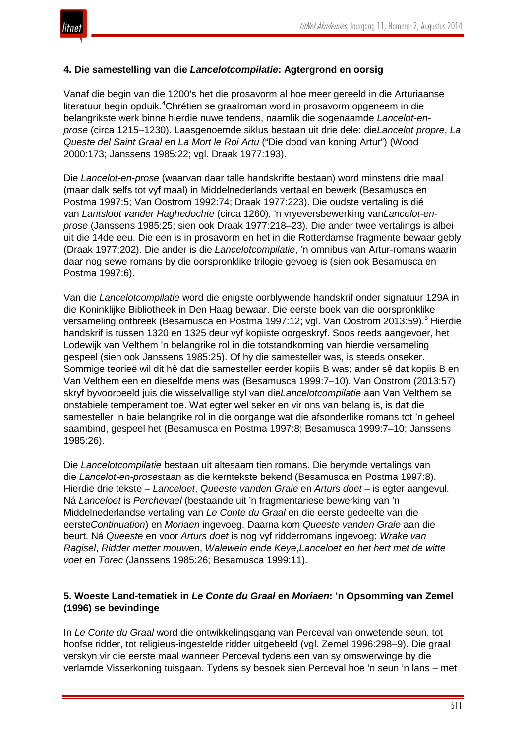

### **4. Die samestelling van die** *Lancelotcompilatie***: Agtergrond en oorsig**

Vanaf die begin van die 1200's het die prosavorm al hoe meer gereeld in die Arturiaanse literatuur begin opduik.<sup>4</sup>Chrétien se graalroman word in prosavorm opgeneem in die belangrikste werk binne hierdie nuwe tendens, naamlik die sogenaamde *Lancelot-enprose* (circa 1215–1230). Laasgenoemde siklus bestaan uit drie dele: die*Lancelot propre*, *La Queste del Saint Graal* en *La Mort le Roi Artu* ("Die dood van koning Artur") (Wood 2000:173; Janssens 1985:22; vgl. Draak 1977:193).

Die *Lancelot-en-prose* (waarvan daar talle handskrifte bestaan) word minstens drie maal (maar dalk selfs tot vyf maal) in Middelnederlands vertaal en bewerk (Besamusca en Postma 1997:5; Van Oostrom 1992:74; Draak 1977:223). Die oudste vertaling is dié van *Lantsloot vander Haghedochte* (circa 1260), 'n vryeversbewerking van*Lancelot-enprose* (Janssens 1985:25; sien ook Draak 1977:218–23). Die ander twee vertalings is albei uit die 14de eeu. Die een is in prosavorm en het in die Rotterdamse fragmente bewaar gebly (Draak 1977:202). Die ander is die *Lancelotcompilatie*, 'n omnibus van Artur-romans waarin daar nog sewe romans by die oorspronklike trilogie gevoeg is (sien ook Besamusca en Postma 1997:6).

Van die *Lancelotcompilatie* word die enigste oorblywende handskrif onder signatuur 129A in die Koninklijke Bibliotheek in Den Haag bewaar. Die eerste boek van die oorspronklike versameling ontbreek (Besamusca en Postma 1997:12; vgl. Van Oostrom 2013:59).<sup>5</sup> Hierdie handskrif is tussen 1320 en 1325 deur vyf kopiiste oorgeskryf. Soos reeds aangevoer, het Lodewijk van Velthem 'n belangrike rol in die totstandkoming van hierdie versameling gespeel (sien ook Janssens 1985:25). Of hy die samesteller was, is steeds onseker. Sommige teorieë wil dit hê dat die samesteller eerder kopiis B was; ander sê dat kopiis B en Van Velthem een en dieselfde mens was (Besamusca 1999:7–10). Van Oostrom (2013:57) skryf byvoorbeeld juis die wisselvallige styl van die*Lancelotcompilatie* aan Van Velthem se onstabiele temperament toe. Wat egter wel seker en vir ons van belang is, is dat die samesteller 'n baie belangrike rol in die oorgange wat die afsonderlike romans tot 'n geheel saambind, gespeel het (Besamusca en Postma 1997:8; Besamusca 1999:7–10; Janssens 1985:26).

Die *Lancelotcompilatie* bestaan uit altesaam tien romans. Die berymde vertalings van die *Lancelot-en-prose*staan as die kerntekste bekend (Besamusca en Postma 1997:8). Hierdie drie tekste – *Lanceloet*, *Queeste vanden Grale* en *Arturs doet* – is egter aangevul. Ná *Lanceloet* is *Perchevael* (bestaande uit 'n fragmentariese bewerking van 'n Middelnederlandse vertaling van *Le Conte du Graal* en die eerste gedeelte van die eerste*Continuation*) en *Moriaen* ingevoeg. Daarna kom *Queeste vanden Grale* aan die beurt. Ná *Queeste* en voor *Arturs doet* is nog vyf ridderromans ingevoeg: *Wrake van Ragisel*, *Ridder metter mouwen*, *Walewein ende Keye*,*Lanceloet en het hert met de witte voet* en *Torec* (Janssens 1985:26; Besamusca 1999:11).

#### **5. Woeste Land-tematiek in** *Le Conte du Graal* **en** *Moriaen***: 'n Opsomming van Zemel (1996) se bevindinge**

In *Le Conte du Graal* word die ontwikkelingsgang van Perceval van onwetende seun, tot hoofse ridder, tot religieus-ingestelde ridder uitgebeeld (vgl. Zemel 1996:298–9). Die graal verskyn vir die eerste maal wanneer Perceval tydens een van sy omswerwinge by die verlamde Visserkoning tuisgaan. Tydens sy besoek sien Perceval hoe 'n seun 'n lans – met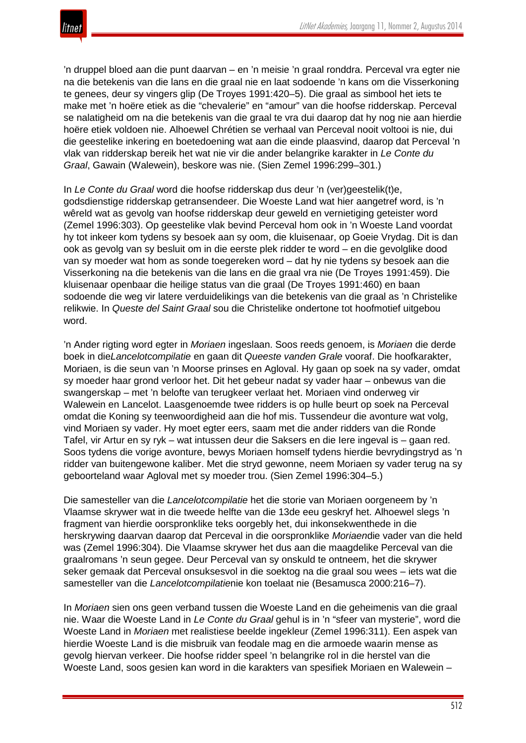'n druppel bloed aan die punt daarvan – en 'n meisie 'n graal ronddra. Perceval vra egter nie na die betekenis van die lans en die graal nie en laat sodoende 'n kans om die Visserkoning te genees, deur sy vingers glip (De Troyes 1991:420–5). Die graal as simbool het iets te make met 'n hoëre etiek as die "chevalerie" en "amour" van die hoofse ridderskap. Perceval se nalatigheid om na die betekenis van die graal te vra dui daarop dat hy nog nie aan hierdie hoëre etiek voldoen nie. Alhoewel Chrétien se verhaal van Perceval nooit voltooi is nie, dui die geestelike inkering en boetedoening wat aan die einde plaasvind, daarop dat Perceval 'n vlak van ridderskap bereik het wat nie vir die ander belangrike karakter in *Le Conte du Graal*, Gawain (Walewein), beskore was nie. (Sien Zemel 1996:299–301.)

In *Le Conte du Graal* word die hoofse ridderskap dus deur 'n (ver)geestelik(t)e, godsdienstige ridderskap getransendeer. Die Woeste Land wat hier aangetref word, is 'n wêreld wat as gevolg van hoofse ridderskap deur geweld en vernietiging geteister word (Zemel 1996:303). Op geestelike vlak bevind Perceval hom ook in 'n Woeste Land voordat hy tot inkeer kom tydens sy besoek aan sy oom, die kluisenaar, op Goeie Vrydag. Dit is dan ook as gevolg van sy besluit om in die eerste plek ridder te word – en die gevolglike dood van sy moeder wat hom as sonde toegereken word – dat hy nie tydens sy besoek aan die Visserkoning na die betekenis van die lans en die graal vra nie (De Troyes 1991:459). Die kluisenaar openbaar die heilige status van die graal (De Troyes 1991:460) en baan sodoende die weg vir latere verduidelikings van die betekenis van die graal as 'n Christelike relikwie. In *Queste del Saint Graal* sou die Christelike ondertone tot hoofmotief uitgebou word.

'n Ander rigting word egter in *Moriaen* ingeslaan. Soos reeds genoem, is *Moriaen* die derde boek in die*Lancelotcompilatie* en gaan dit *Queeste vanden Grale* vooraf. Die hoofkarakter, Moriaen, is die seun van 'n Moorse prinses en Agloval. Hy gaan op soek na sy vader, omdat sy moeder haar grond verloor het. Dit het gebeur nadat sy vader haar – onbewus van die swangerskap – met 'n belofte van terugkeer verlaat het. Moriaen vind onderweg vir Walewein en Lancelot. Laasgenoemde twee ridders is op hulle beurt op soek na Perceval omdat die Koning sy teenwoordigheid aan die hof mis. Tussendeur die avonture wat volg, vind Moriaen sy vader. Hy moet egter eers, saam met die ander ridders van die Ronde Tafel, vir Artur en sy ryk – wat intussen deur die Saksers en die Iere ingeval is – gaan red. Soos tydens die vorige avonture, bewys Moriaen homself tydens hierdie bevrydingstryd as 'n ridder van buitengewone kaliber. Met die stryd gewonne, neem Moriaen sy vader terug na sy geboorteland waar Agloval met sy moeder trou. (Sien Zemel 1996:304–5.)

Die samesteller van die *Lancelotcompilatie* het die storie van Moriaen oorgeneem by 'n Vlaamse skrywer wat in die tweede helfte van die 13de eeu geskryf het. Alhoewel slegs 'n fragment van hierdie oorspronklike teks oorgebly het, dui inkonsekwenthede in die herskrywing daarvan daarop dat Perceval in die oorspronklike *Moriaen*die vader van die held was (Zemel 1996:304). Die Vlaamse skrywer het dus aan die maagdelike Perceval van die graalromans 'n seun gegee. Deur Perceval van sy onskuld te ontneem, het die skrywer seker gemaak dat Perceval onsuksesvol in die soektog na die graal sou wees – iets wat die samesteller van die *Lancelotcompilatie*nie kon toelaat nie (Besamusca 2000:216–7).

In *Moriaen* sien ons geen verband tussen die Woeste Land en die geheimenis van die graal nie. Waar die Woeste Land in *Le Conte du Graal* gehul is in 'n "sfeer van mysterie", word die Woeste Land in *Moriaen* met realistiese beelde ingekleur (Zemel 1996:311). Een aspek van hierdie Woeste Land is die misbruik van feodale mag en die armoede waarin mense as gevolg hiervan verkeer. Die hoofse ridder speel 'n belangrike rol in die herstel van die Woeste Land, soos gesien kan word in die karakters van spesifiek Moriaen en Walewein –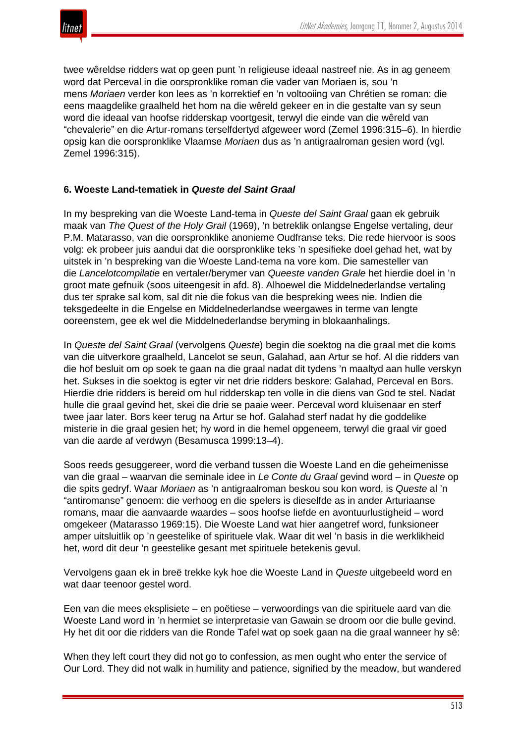twee wêreldse ridders wat op geen punt 'n religieuse ideaal nastreef nie. As in ag geneem word dat Perceval in die oorspronklike roman die vader van Moriaen is, sou 'n mens *Moriaen* verder kon lees as 'n korrektief en 'n voltooiing van Chrétien se roman: die eens maagdelike graalheld het hom na die wêreld gekeer en in die gestalte van sy seun word die ideaal van hoofse ridderskap voortgesit, terwyl die einde van die wêreld van "chevalerie" en die Artur-romans terselfdertyd afgeweer word (Zemel 1996:315–6). In hierdie opsig kan die oorspronklike Vlaamse *Moriaen* dus as 'n antigraalroman gesien word (vgl. Zemel 1996:315).

## **6. Woeste Land-tematiek in** *Queste del Saint Graal*

In my bespreking van die Woeste Land-tema in *Queste del Saint Graal* gaan ek gebruik maak van *The Quest of the Holy Grail* (1969), 'n betreklik onlangse Engelse vertaling, deur P.M. Matarasso, van die oorspronklike anonieme Oudfranse teks. Die rede hiervoor is soos volg: ek probeer juis aandui dat die oorspronklike teks 'n spesifieke doel gehad het, wat by uitstek in 'n bespreking van die Woeste Land-tema na vore kom. Die samesteller van die *Lancelotcompilatie* en vertaler/berymer van *Queeste vanden Grale* het hierdie doel in 'n groot mate gefnuik (soos uiteengesit in afd. 8). Alhoewel die Middelnederlandse vertaling dus ter sprake sal kom, sal dit nie die fokus van die bespreking wees nie. Indien die teksgedeelte in die Engelse en Middelnederlandse weergawes in terme van lengte ooreenstem, gee ek wel die Middelnederlandse beryming in blokaanhalings.

In *Queste del Saint Graal* (vervolgens *Queste*) begin die soektog na die graal met die koms van die uitverkore graalheld, Lancelot se seun, Galahad, aan Artur se hof. Al die ridders van die hof besluit om op soek te gaan na die graal nadat dit tydens 'n maaltyd aan hulle verskyn het. Sukses in die soektog is egter vir net drie ridders beskore: Galahad, Perceval en Bors. Hierdie drie ridders is bereid om hul ridderskap ten volle in die diens van God te stel. Nadat hulle die graal gevind het, skei die drie se paaie weer. Perceval word kluisenaar en sterf twee jaar later. Bors keer terug na Artur se hof. Galahad sterf nadat hy die goddelike misterie in die graal gesien het; hy word in die hemel opgeneem, terwyl die graal vir goed van die aarde af verdwyn (Besamusca 1999:13–4).

Soos reeds gesuggereer, word die verband tussen die Woeste Land en die geheimenisse van die graal – waarvan die seminale idee in *Le Conte du Graal* gevind word – in *Queste* op die spits gedryf. Waar *Moriaen* as 'n antigraalroman beskou sou kon word, is *Queste* al 'n "antiromanse" genoem: die verhoog en die spelers is dieselfde as in ander Arturiaanse romans, maar die aanvaarde waardes – soos hoofse liefde en avontuurlustigheid – word omgekeer (Matarasso 1969:15). Die Woeste Land wat hier aangetref word, funksioneer amper uitsluitlik op 'n geestelike of spirituele vlak. Waar dit wel 'n basis in die werklikheid het, word dit deur 'n geestelike gesant met spirituele betekenis gevul.

Vervolgens gaan ek in breë trekke kyk hoe die Woeste Land in *Queste* uitgebeeld word en wat daar teenoor gestel word.

Een van die mees eksplisiete – en poëtiese – verwoordings van die spirituele aard van die Woeste Land word in 'n hermiet se interpretasie van Gawain se droom oor die bulle gevind. Hy het dit oor die ridders van die Ronde Tafel wat op soek gaan na die graal wanneer hy sê:

When they left court they did not go to confession, as men ought who enter the service of Our Lord. They did not walk in humility and patience, signified by the meadow, but wandered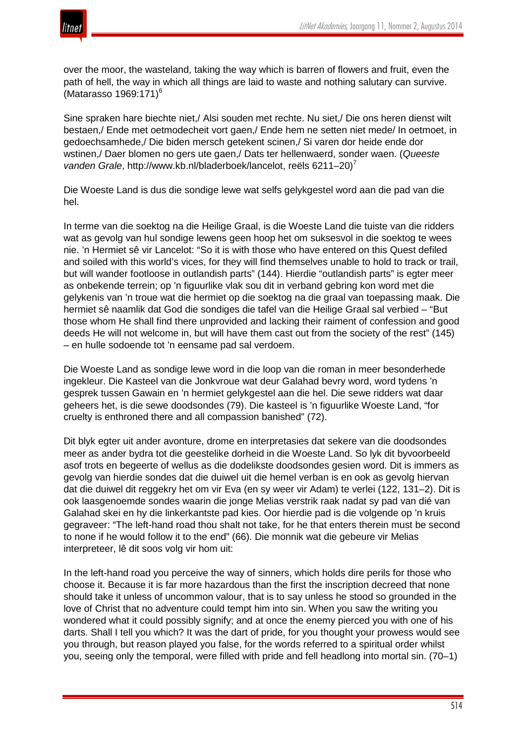

over the moor, the wasteland, taking the way which is barren of flowers and fruit, even the path of hell, the way in which all things are laid to waste and nothing salutary can survive. (Matarasso 1969:171)<sup>6</sup>

Sine spraken hare biechte niet,/ Alsi souden met rechte. Nu siet,/ Die ons heren dienst wilt bestaen,/ Ende met oetmodecheit vort gaen,/ Ende hem ne setten niet mede/ In oetmoet, in gedoechsamhede,/ Die biden mersch getekent scinen,/ Si varen dor heide ende dor wstinen,/ Daer blomen no gers ute gaen,/ Dats ter hellenwaerd, sonder waen. (*Queeste vanden Grale, http://www.kb.nl/bladerboek/lancelot, reëls 6211–20)<sup>7</sup>* 

Die Woeste Land is dus die sondige lewe wat selfs gelykgestel word aan die pad van die hel.

In terme van die soektog na die Heilige Graal, is die Woeste Land die tuiste van die ridders wat as gevolg van hul sondige lewens geen hoop het om suksesvol in die soektog te wees nie. 'n Hermiet sê vir Lancelot: "So it is with those who have entered on this Quest defiled and soiled with this world's vices, for they will find themselves unable to hold to track or trail, but will wander footloose in outlandish parts" (144). Hierdie "outlandish parts" is egter meer as onbekende terrein; op 'n figuurlike vlak sou dit in verband gebring kon word met die gelykenis van 'n troue wat die hermiet op die soektog na die graal van toepassing maak. Die hermiet sê naamlik dat God die sondiges die tafel van die Heilige Graal sal verbied – "But those whom He shall find there unprovided and lacking their raiment of confession and good deeds He will not welcome in, but will have them cast out from the society of the rest" (145) – en hulle sodoende tot 'n eensame pad sal verdoem.

Die Woeste Land as sondige lewe word in die loop van die roman in meer besonderhede ingekleur. Die Kasteel van die Jonkvroue wat deur Galahad bevry word, word tydens 'n gesprek tussen Gawain en 'n hermiet gelykgestel aan die hel. Die sewe ridders wat daar geheers het, is die sewe doodsondes (79). Die kasteel is 'n figuurlike Woeste Land, "for cruelty is enthroned there and all compassion banished" (72).

Dit blyk egter uit ander avonture, drome en interpretasies dat sekere van die doodsondes meer as ander bydra tot die geestelike dorheid in die Woeste Land. So lyk dit byvoorbeeld asof trots en begeerte of wellus as die dodelikste doodsondes gesien word. Dit is immers as gevolg van hierdie sondes dat die duiwel uit die hemel verban is en ook as gevolg hiervan dat die duiwel dit reggekry het om vir Eva (en sy weer vir Adam) te verlei (122, 131–2). Dit is ook laasgenoemde sondes waarin die jonge Melias verstrik raak nadat sy pad van dié van Galahad skei en hy die linkerkantste pad kies. Oor hierdie pad is die volgende op 'n kruis gegraveer: "The left-hand road thou shalt not take, for he that enters therein must be second to none if he would follow it to the end" (66). Die monnik wat die gebeure vir Melias interpreteer, lê dit soos volg vir hom uit:

In the left-hand road you perceive the way of sinners, which holds dire perils for those who choose it. Because it is far more hazardous than the first the inscription decreed that none should take it unless of uncommon valour, that is to say unless he stood so grounded in the love of Christ that no adventure could tempt him into sin. When you saw the writing you wondered what it could possibly signify; and at once the enemy pierced you with one of his darts. Shall I tell you which? It was the dart of pride, for you thought your prowess would see you through, but reason played you false, for the words referred to a spiritual order whilst you, seeing only the temporal, were filled with pride and fell headlong into mortal sin. (70–1)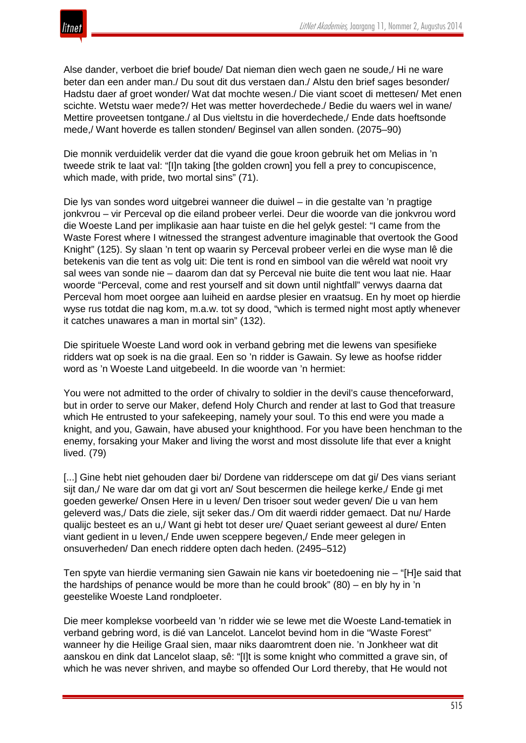

Alse dander, verboet die brief boude/ Dat nieman dien wech gaen ne soude,/ Hi ne ware beter dan een ander man./ Du sout dit dus verstaen dan./ Alstu den brief sages besonder/ Hadstu daer af groet wonder/ Wat dat mochte wesen./ Die viant scoet di mettesen/ Met enen scichte. Wetstu waer mede?/ Het was metter hoverdechede./ Bedie du waers wel in wane/ Mettire proveetsen tontgane./ al Dus vieltstu in die hoverdechede,/ Ende dats hoeftsonde mede,/ Want hoverde es tallen stonden/ Beginsel van allen sonden. (2075–90)

Die monnik verduidelik verder dat die vyand die goue kroon gebruik het om Melias in 'n tweede strik te laat val: "[I]n taking [the golden crown] you fell a prey to concupiscence, which made, with pride, two mortal sins" (71).

Die lys van sondes word uitgebrei wanneer die duiwel – in die gestalte van 'n pragtige jonkvrou – vir Perceval op die eiland probeer verlei. Deur die woorde van die jonkvrou word die Woeste Land per implikasie aan haar tuiste en die hel gelyk gestel: "I came from the Waste Forest where I witnessed the strangest adventure imaginable that overtook the Good Knight" (125). Sy slaan 'n tent op waarin sy Perceval probeer verlei en die wyse man lê die betekenis van die tent as volg uit: Die tent is rond en simbool van die wêreld wat nooit vry sal wees van sonde nie – daarom dan dat sy Perceval nie buite die tent wou laat nie. Haar woorde "Perceval, come and rest yourself and sit down until nightfall" verwys daarna dat Perceval hom moet oorgee aan luiheid en aardse plesier en vraatsug. En hy moet op hierdie wyse rus totdat die nag kom, m.a.w. tot sy dood, "which is termed night most aptly whenever it catches unawares a man in mortal sin" (132).

Die spirituele Woeste Land word ook in verband gebring met die lewens van spesifieke ridders wat op soek is na die graal. Een so 'n ridder is Gawain. Sy lewe as hoofse ridder word as 'n Woeste Land uitgebeeld. In die woorde van 'n hermiet:

You were not admitted to the order of chivalry to soldier in the devil's cause thenceforward, but in order to serve our Maker, defend Holy Church and render at last to God that treasure which He entrusted to your safekeeping, namely your soul. To this end were you made a knight, and you, Gawain, have abused your knighthood. For you have been henchman to the enemy, forsaking your Maker and living the worst and most dissolute life that ever a knight lived. (79)

[...] Gine hebt niet gehouden daer bi/ Dordene van ridderscepe om dat gi/ Des vians seriant sijt dan,/ Ne ware dar om dat gi vort an/ Sout bescermen die heilege kerke,/ Ende gi met goeden gewerke/ Onsen Here in u leven/ Den trisoer sout weder geven/ Die u van hem geleverd was,/ Dats die ziele, sijt seker das./ Om dit waerdi ridder gemaect. Dat nu/ Harde qualijc besteet es an u,/ Want gi hebt tot deser ure/ Quaet seriant geweest al dure/ Enten viant gedient in u leven,/ Ende uwen sceppere begeven,/ Ende meer gelegen in onsuverheden/ Dan enech riddere opten dach heden. (2495–512)

Ten spyte van hierdie vermaning sien Gawain nie kans vir boetedoening nie – "[H]e said that the hardships of penance would be more than he could brook" (80) – en bly hy in 'n geestelike Woeste Land rondploeter.

Die meer komplekse voorbeeld van 'n ridder wie se lewe met die Woeste Land-tematiek in verband gebring word, is dié van Lancelot. Lancelot bevind hom in die "Waste Forest" wanneer hy die Heilige Graal sien, maar niks daaromtrent doen nie. 'n Jonkheer wat dit aanskou en dink dat Lancelot slaap, sê: "[I]t is some knight who committed a grave sin, of which he was never shriven, and maybe so offended Our Lord thereby, that He would not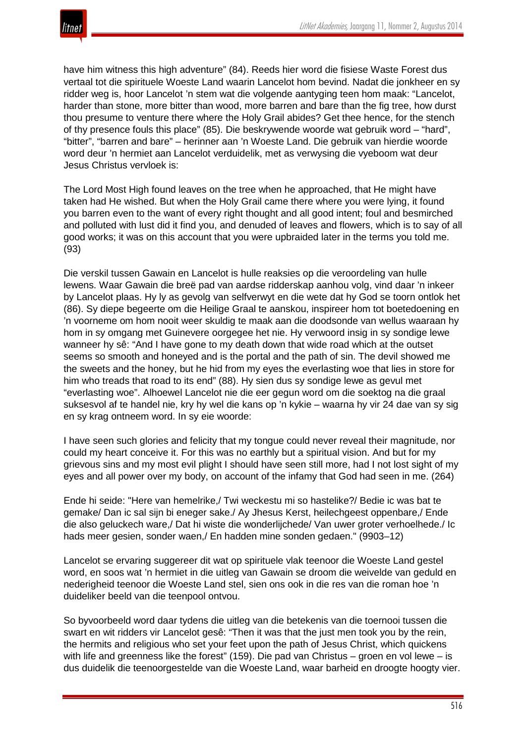have him witness this high adventure" (84). Reeds hier word die fisiese Waste Forest dus vertaal tot die spirituele Woeste Land waarin Lancelot hom bevind. Nadat die jonkheer en sy ridder weg is, hoor Lancelot 'n stem wat die volgende aantyging teen hom maak: "Lancelot, harder than stone, more bitter than wood, more barren and bare than the fig tree, how durst thou presume to venture there where the Holy Grail abides? Get thee hence, for the stench of thy presence fouls this place" (85). Die beskrywende woorde wat gebruik word – "hard", "bitter", "barren and bare" – herinner aan 'n Woeste Land. Die gebruik van hierdie woorde word deur 'n hermiet aan Lancelot verduidelik, met as verwysing die vyeboom wat deur Jesus Christus vervloek is:

The Lord Most High found leaves on the tree when he approached, that He might have taken had He wished. But when the Holy Grail came there where you were lying, it found you barren even to the want of every right thought and all good intent; foul and besmirched and polluted with lust did it find you, and denuded of leaves and flowers, which is to say of all good works; it was on this account that you were upbraided later in the terms you told me. (93)

Die verskil tussen Gawain en Lancelot is hulle reaksies op die veroordeling van hulle lewens. Waar Gawain die breë pad van aardse ridderskap aanhou volg, vind daar 'n inkeer by Lancelot plaas. Hy ly as gevolg van selfverwyt en die wete dat hy God se toorn ontlok het (86). Sy diepe begeerte om die Heilige Graal te aanskou, inspireer hom tot boetedoening en 'n voorneme om hom nooit weer skuldig te maak aan die doodsonde van wellus waaraan hy hom in sy omgang met Guinevere oorgegee het nie. Hy verwoord insig in sy sondige lewe wanneer hy sê: "And I have gone to my death down that wide road which at the outset seems so smooth and honeyed and is the portal and the path of sin. The devil showed me the sweets and the honey, but he hid from my eyes the everlasting woe that lies in store for him who treads that road to its end" (88). Hy sien dus sy sondige lewe as gevul met "everlasting woe". Alhoewel Lancelot nie die eer gegun word om die soektog na die graal suksesvol af te handel nie, kry hy wel die kans op 'n kykie – waarna hy vir 24 dae van sy sig en sy krag ontneem word. In sy eie woorde:

I have seen such glories and felicity that my tongue could never reveal their magnitude, nor could my heart conceive it. For this was no earthly but a spiritual vision. And but for my grievous sins and my most evil plight I should have seen still more, had I not lost sight of my eyes and all power over my body, on account of the infamy that God had seen in me. (264)

Ende hi seide: "Here van hemelrike,/ Twi weckestu mi so hastelike?/ Bedie ic was bat te gemake/ Dan ic sal sijn bi eneger sake./ Ay Jhesus Kerst, heilechgeest oppenbare,/ Ende die also geluckech ware,/ Dat hi wiste die wonderlijchede/ Van uwer groter verhoelhede./ Ic hads meer gesien, sonder waen,/ En hadden mine sonden gedaen." (9903–12)

Lancelot se ervaring suggereer dit wat op spirituele vlak teenoor die Woeste Land gestel word, en soos wat 'n hermiet in die uitleg van Gawain se droom die weivelde van geduld en nederigheid teenoor die Woeste Land stel, sien ons ook in die res van die roman hoe 'n duideliker beeld van die teenpool ontvou.

So byvoorbeeld word daar tydens die uitleg van die betekenis van die toernooi tussen die swart en wit ridders vir Lancelot gesê: "Then it was that the just men took you by the rein, the hermits and religious who set your feet upon the path of Jesus Christ, which quickens with life and greenness like the forest" (159). Die pad van Christus – groen en vol lewe – is dus duidelik die teenoorgestelde van die Woeste Land, waar barheid en droogte hoogty vier.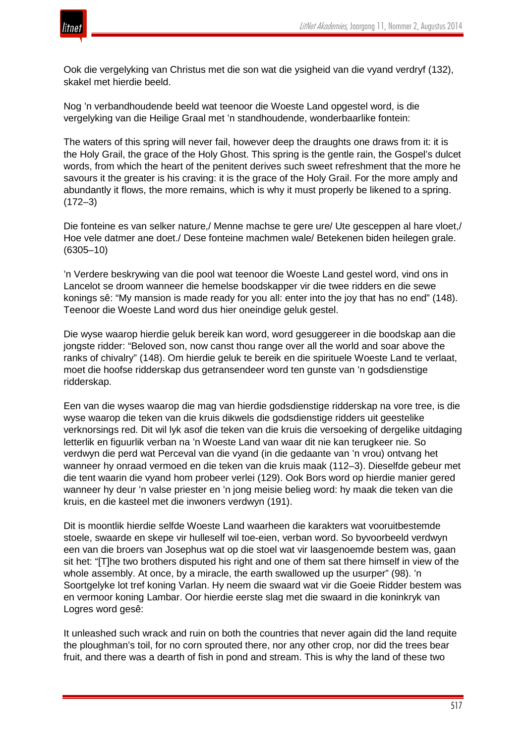

Ook die vergelyking van Christus met die son wat die ysigheid van die vyand verdryf (132), skakel met hierdie beeld.

Nog 'n verbandhoudende beeld wat teenoor die Woeste Land opgestel word, is die vergelyking van die Heilige Graal met 'n standhoudende, wonderbaarlike fontein:

The waters of this spring will never fail, however deep the draughts one draws from it: it is the Holy Grail, the grace of the Holy Ghost. This spring is the gentle rain, the Gospel's dulcet words, from which the heart of the penitent derives such sweet refreshment that the more he savours it the greater is his craving: it is the grace of the Holy Grail. For the more amply and abundantly it flows, the more remains, which is why it must properly be likened to a spring. (172–3)

Die fonteine es van selker nature,/ Menne machse te gere ure/ Ute gesceppen al hare vloet,/ Hoe vele datmer ane doet./ Dese fonteine machmen wale/ Betekenen biden heilegen grale. (6305–10)

'n Verdere beskrywing van die pool wat teenoor die Woeste Land gestel word, vind ons in Lancelot se droom wanneer die hemelse boodskapper vir die twee ridders en die sewe konings sê: "My mansion is made ready for you all: enter into the joy that has no end" (148). Teenoor die Woeste Land word dus hier oneindige geluk gestel.

Die wyse waarop hierdie geluk bereik kan word, word gesuggereer in die boodskap aan die jongste ridder: "Beloved son, now canst thou range over all the world and soar above the ranks of chivalry" (148). Om hierdie geluk te bereik en die spirituele Woeste Land te verlaat, moet die hoofse ridderskap dus getransendeer word ten gunste van 'n godsdienstige ridderskap.

Een van die wyses waarop die mag van hierdie godsdienstige ridderskap na vore tree, is die wyse waarop die teken van die kruis dikwels die godsdienstige ridders uit geestelike verknorsings red. Dit wil lyk asof die teken van die kruis die versoeking of dergelike uitdaging letterlik en figuurlik verban na 'n Woeste Land van waar dit nie kan terugkeer nie. So verdwyn die perd wat Perceval van die vyand (in die gedaante van 'n vrou) ontvang het wanneer hy onraad vermoed en die teken van die kruis maak (112–3). Dieselfde gebeur met die tent waarin die vyand hom probeer verlei (129). Ook Bors word op hierdie manier gered wanneer hy deur 'n valse priester en 'n jong meisie belieg word: hy maak die teken van die kruis, en die kasteel met die inwoners verdwyn (191).

Dit is moontlik hierdie selfde Woeste Land waarheen die karakters wat vooruitbestemde stoele, swaarde en skepe vir hulleself wil toe-eien, verban word. So byvoorbeeld verdwyn een van die broers van Josephus wat op die stoel wat vir laasgenoemde bestem was, gaan sit het: "[T]he two brothers disputed his right and one of them sat there himself in view of the whole assembly. At once, by a miracle, the earth swallowed up the usurper" (98). 'n Soortgelyke lot tref koning Varlan. Hy neem die swaard wat vir die Goeie Ridder bestem was en vermoor koning Lambar. Oor hierdie eerste slag met die swaard in die koninkryk van Logres word gesê:

It unleashed such wrack and ruin on both the countries that never again did the land requite the ploughman's toil, for no corn sprouted there, nor any other crop, nor did the trees bear fruit, and there was a dearth of fish in pond and stream. This is why the land of these two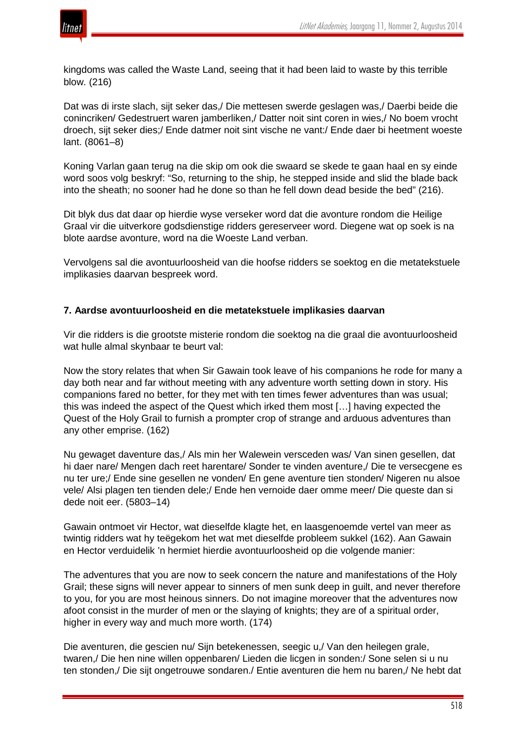

kingdoms was called the Waste Land, seeing that it had been laid to waste by this terrible blow. (216)

Dat was di irste slach, sijt seker das,/ Die mettesen swerde geslagen was,/ Daerbi beide die conincriken/ Gedestruert waren jamberliken,/ Datter noit sint coren in wies,/ No boem vrocht droech, sijt seker dies;/ Ende datmer noit sint vische ne vant:/ Ende daer bi heetment woeste lant. (8061–8)

Koning Varlan gaan terug na die skip om ook die swaard se skede te gaan haal en sy einde word soos volg beskryf: "So, returning to the ship, he stepped inside and slid the blade back into the sheath; no sooner had he done so than he fell down dead beside the bed" (216).

Dit blyk dus dat daar op hierdie wyse verseker word dat die avonture rondom die Heilige Graal vir die uitverkore godsdienstige ridders gereserveer word. Diegene wat op soek is na blote aardse avonture, word na die Woeste Land verban.

Vervolgens sal die avontuurloosheid van die hoofse ridders se soektog en die metatekstuele implikasies daarvan bespreek word.

## **7. Aardse avontuurloosheid en die metatekstuele implikasies daarvan**

Vir die ridders is die grootste misterie rondom die soektog na die graal die avontuurloosheid wat hulle almal skynbaar te beurt val:

Now the story relates that when Sir Gawain took leave of his companions he rode for many a day both near and far without meeting with any adventure worth setting down in story. His companions fared no better, for they met with ten times fewer adventures than was usual; this was indeed the aspect of the Quest which irked them most […] having expected the Quest of the Holy Grail to furnish a prompter crop of strange and arduous adventures than any other emprise. (162)

Nu gewaget daventure das,/ Als min her Walewein versceden was/ Van sinen gesellen, dat hi daer nare/ Mengen dach reet harentare/ Sonder te vinden aventure,/ Die te versecgene es nu ter ure;/ Ende sine gesellen ne vonden/ En gene aventure tien stonden/ Nigeren nu alsoe vele/ Alsi plagen ten tienden dele;/ Ende hen vernoide daer omme meer/ Die queste dan si dede noit eer. (5803–14)

Gawain ontmoet vir Hector, wat dieselfde klagte het, en laasgenoemde vertel van meer as twintig ridders wat hy teëgekom het wat met dieselfde probleem sukkel (162). Aan Gawain en Hector verduidelik 'n hermiet hierdie avontuurloosheid op die volgende manier:

The adventures that you are now to seek concern the nature and manifestations of the Holy Grail; these signs will never appear to sinners of men sunk deep in guilt, and never therefore to you, for you are most heinous sinners. Do not imagine moreover that the adventures now afoot consist in the murder of men or the slaying of knights; they are of a spiritual order, higher in every way and much more worth. (174)

Die aventuren, die gescien nu/ Sijn betekenessen, seegic u,/ Van den heilegen grale, twaren,/ Die hen nine willen oppenbaren/ Lieden die licgen in sonden:/ Sone selen si u nu ten stonden,/ Die sijt ongetrouwe sondaren./ Entie aventuren die hem nu baren,/ Ne hebt dat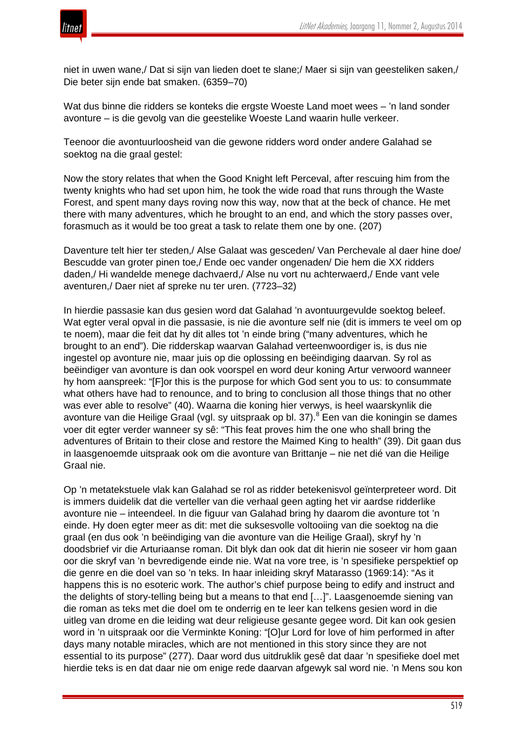

niet in uwen wane,/ Dat si sijn van lieden doet te slane;/ Maer si sijn van geesteliken saken,/ Die beter sijn ende bat smaken. (6359–70)

Wat dus binne die ridders se konteks die ergste Woeste Land moet wees – 'n land sonder avonture – is die gevolg van die geestelike Woeste Land waarin hulle verkeer.

Teenoor die avontuurloosheid van die gewone ridders word onder andere Galahad se soektog na die graal gestel:

Now the story relates that when the Good Knight left Perceval, after rescuing him from the twenty knights who had set upon him, he took the wide road that runs through the Waste Forest, and spent many days roving now this way, now that at the beck of chance. He met there with many adventures, which he brought to an end, and which the story passes over, forasmuch as it would be too great a task to relate them one by one. (207)

Daventure telt hier ter steden,/ Alse Galaat was gesceden/ Van Perchevale al daer hine doe/ Bescudde van groter pinen toe,/ Ende oec vander ongenaden/ Die hem die XX ridders daden,/ Hi wandelde menege dachvaerd,/ Alse nu vort nu achterwaerd,/ Ende vant vele aventuren,/ Daer niet af spreke nu ter uren. (7723–32)

In hierdie passasie kan dus gesien word dat Galahad 'n avontuurgevulde soektog beleef. Wat egter veral opval in die passasie, is nie die avonture self nie (dit is immers te veel om op te noem), maar die feit dat hy dit alles tot 'n einde bring ("many adventures, which he brought to an end"). Die ridderskap waarvan Galahad verteenwoordiger is, is dus nie ingestel op avonture nie, maar juis op die oplossing en beëindiging daarvan. Sy rol as beëindiger van avonture is dan ook voorspel en word deur koning Artur verwoord wanneer hy hom aanspreek: "[F]or this is the purpose for which God sent you to us: to consummate what others have had to renounce, and to bring to conclusion all those things that no other was ever able to resolve" (40). Waarna die koning hier verwys, is heel waarskynlik die avonture van die Heilige Graal (vgl. sy uitspraak op bl. 37).<sup>8</sup> Een van die koningin se dames voer dit egter verder wanneer sy sê: "This feat proves him the one who shall bring the adventures of Britain to their close and restore the Maimed King to health" (39). Dit gaan dus in laasgenoemde uitspraak ook om die avonture van Brittanje – nie net dié van die Heilige Graal nie.

Op 'n metatekstuele vlak kan Galahad se rol as ridder betekenisvol geïnterpreteer word. Dit is immers duidelik dat die verteller van die verhaal geen agting het vir aardse ridderlike avonture nie – inteendeel. In die figuur van Galahad bring hy daarom die avonture tot 'n einde. Hy doen egter meer as dit: met die suksesvolle voltooiing van die soektog na die graal (en dus ook 'n beëindiging van die avonture van die Heilige Graal), skryf hy 'n doodsbrief vir die Arturiaanse roman. Dit blyk dan ook dat dit hierin nie soseer vir hom gaan oor die skryf van 'n bevredigende einde nie. Wat na vore tree, is 'n spesifieke perspektief op die genre en die doel van so 'n teks. In haar inleiding skryf Matarasso (1969:14): "As it happens this is no esoteric work. The author's chief purpose being to edify and instruct and the delights of story-telling being but a means to that end […]". Laasgenoemde siening van die roman as teks met die doel om te onderrig en te leer kan telkens gesien word in die uitleg van drome en die leiding wat deur religieuse gesante gegee word. Dit kan ook gesien word in 'n uitspraak oor die Verminkte Koning: "[O]ur Lord for love of him performed in after days many notable miracles, which are not mentioned in this story since they are not essential to its purpose" (277). Daar word dus uitdruklik gesê dat daar 'n spesifieke doel met hierdie teks is en dat daar nie om enige rede daarvan afgewyk sal word nie. 'n Mens sou kon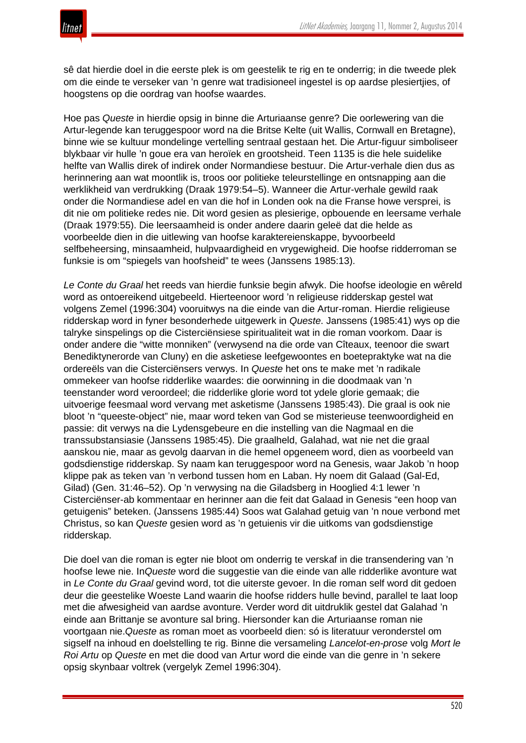

sê dat hierdie doel in die eerste plek is om geestelik te rig en te onderrig; in die tweede plek om die einde te verseker van 'n genre wat tradisioneel ingestel is op aardse plesiertjies, of hoogstens op die oordrag van hoofse waardes.

Hoe pas *Queste* in hierdie opsig in binne die Arturiaanse genre? Die oorlewering van die Artur-legende kan teruggespoor word na die Britse Kelte (uit Wallis, Cornwall en Bretagne), binne wie se kultuur mondelinge vertelling sentraal gestaan het. Die Artur-figuur simboliseer blykbaar vir hulle 'n goue era van heroïek en grootsheid. Teen 1135 is die hele suidelike helfte van Wallis direk of indirek onder Normandiese bestuur. Die Artur-verhale dien dus as herinnering aan wat moontlik is, troos oor politieke teleurstellinge en ontsnapping aan die werklikheid van verdrukking (Draak 1979:54–5). Wanneer die Artur-verhale gewild raak onder die Normandiese adel en van die hof in Londen ook na die Franse howe versprei, is dit nie om politieke redes nie. Dit word gesien as plesierige, opbouende en leersame verhale (Draak 1979:55). Die leersaamheid is onder andere daarin geleë dat die helde as voorbeelde dien in die uitlewing van hoofse karaktereienskappe, byvoorbeeld selfbeheersing, minsaamheid, hulpvaardigheid en vrygewigheid. Die hoofse ridderroman se funksie is om "spiegels van hoofsheid" te wees (Janssens 1985:13).

*Le Conte du Graal* het reeds van hierdie funksie begin afwyk. Die hoofse ideologie en wêreld word as ontoereikend uitgebeeld. Hierteenoor word 'n religieuse ridderskap gestel wat volgens Zemel (1996:304) vooruitwys na die einde van die Artur-roman. Hierdie religieuse ridderskap word in fyner besonderhede uitgewerk in *Queste*. Janssens (1985:41) wys op die talryke sinspelings op die Cisterciënsiese spiritualiteit wat in die roman voorkom. Daar is onder andere die "witte monniken" (verwysend na die orde van Cîteaux, teenoor die swart Benediktynerorde van Cluny) en die asketiese leefgewoontes en boetepraktyke wat na die ordereëls van die Cisterciënsers verwys. In *Queste* het ons te make met 'n radikale ommekeer van hoofse ridderlike waardes: die oorwinning in die doodmaak van 'n teenstander word veroordeel; die ridderlike glorie word tot ydele glorie gemaak; die uitvoerige feesmaal word vervang met asketisme (Janssens 1985:43). Die graal is ook nie bloot 'n "queeste-object" nie, maar word teken van God se misterieuse teenwoordigheid en passie: dit verwys na die Lydensgebeure en die instelling van die Nagmaal en die transsubstansiasie (Janssens 1985:45). Die graalheld, Galahad, wat nie net die graal aanskou nie, maar as gevolg daarvan in die hemel opgeneem word, dien as voorbeeld van godsdienstige ridderskap. Sy naam kan teruggespoor word na Genesis, waar Jakob 'n hoop klippe pak as teken van 'n verbond tussen hom en Laban. Hy noem dit Galaad (Gal-Ed, Gilad) (Gen. 31:46–52). Op 'n verwysing na die Giladsberg in Hooglied 4:1 lewer 'n Cisterciënser-ab kommentaar en herinner aan die feit dat Galaad in Genesis "een hoop van getuigenis" beteken. (Janssens 1985:44) Soos wat Galahad getuig van 'n noue verbond met Christus, so kan *Queste* gesien word as 'n getuienis vir die uitkoms van godsdienstige ridderskap.

Die doel van die roman is egter nie bloot om onderrig te verskaf in die transendering van 'n hoofse lewe nie. In*Queste* word die suggestie van die einde van alle ridderlike avonture wat in *Le Conte du Graal* gevind word, tot die uiterste gevoer. In die roman self word dit gedoen deur die geestelike Woeste Land waarin die hoofse ridders hulle bevind, parallel te laat loop met die afwesigheid van aardse avonture. Verder word dit uitdruklik gestel dat Galahad 'n einde aan Brittanje se avonture sal bring. Hiersonder kan die Arturiaanse roman nie voortgaan nie.*Queste* as roman moet as voorbeeld dien: só is literatuur veronderstel om sigself na inhoud en doelstelling te rig. Binne die versameling *Lancelot-en-prose* volg *Mort le Roi Artu* op *Queste* en met die dood van Artur word die einde van die genre in 'n sekere opsig skynbaar voltrek (vergelyk Zemel 1996:304).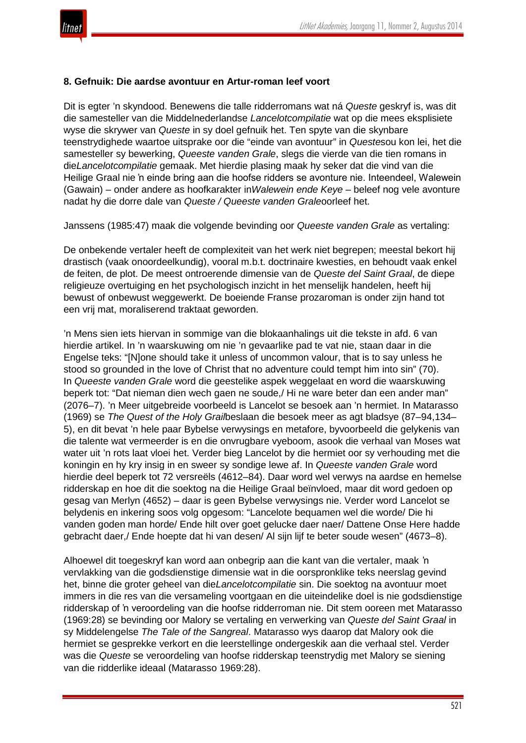

#### **8. Gefnuik: Die aardse avontuur en Artur-roman leef voort**

Dit is egter 'n skyndood. Benewens die talle ridderromans wat ná *Queste* geskryf is, was dit die samesteller van die Middelnederlandse *Lancelotcompilatie* wat op die mees eksplisiete wyse die skrywer van *Queste* in sy doel gefnuik het. Ten spyte van die skynbare teenstrydighede waartoe uitsprake oor die "einde van avontuur" in *Queste*sou kon lei, het die samesteller sy bewerking, *Queeste vanden Grale*, slegs die vierde van die tien romans in die*Lancelotcompilatie* gemaak. Met hierdie plasing maak hy seker dat die vind van die Heilige Graal nie 'n einde bring aan die hoofse ridders se avonture nie. Inteendeel, Walewein (Gawain) – onder andere as hoofkarakter in*Walewein ende Keye* – beleef nog vele avonture nadat hy die dorre dale van *Queste / Queeste vanden Grale*oorleef het.

Janssens (1985:47) maak die volgende bevinding oor *Queeste vanden Grale* as vertaling:

De onbekende vertaler heeft de complexiteit van het werk niet begrepen; meestal bekort hij drastisch (vaak onoordeelkundig), vooral m.b.t. doctrinaire kwesties, en behoudt vaak enkel de feiten, de plot. De meest ontroerende dimensie van de *Queste del Saint Graal*, de diepe religieuze overtuiging en het psychologisch inzicht in het menselijk handelen, heeft hij bewust of onbewust weggewerkt. De boeiende Franse prozaroman is onder zijn hand tot een vrij mat, moraliserend traktaat geworden.

'n Mens sien iets hiervan in sommige van die blokaanhalings uit die tekste in afd. 6 van hierdie artikel. In 'n waarskuwing om nie 'n gevaarlike pad te vat nie, staan daar in die Engelse teks: "[N]one should take it unless of uncommon valour, that is to say unless he stood so grounded in the love of Christ that no adventure could tempt him into sin" (70). In *Queeste vanden Grale* word die geestelike aspek weggelaat en word die waarskuwing beperk tot: "Dat nieman dien wech gaen ne soude,/ Hi ne ware beter dan een ander man" (2076–7). 'n Meer uitgebreide voorbeeld is Lancelot se besoek aan 'n hermiet. In Matarasso (1969) se *The Quest of the Holy Grail*beslaan die besoek meer as agt bladsye (87–94,134– 5), en dit bevat 'n hele paar Bybelse verwysings en metafore, byvoorbeeld die gelykenis van die talente wat vermeerder is en die onvrugbare vyeboom, asook die verhaal van Moses wat water uit 'n rots laat vloei het. Verder bieg Lancelot by die hermiet oor sy verhouding met die koningin en hy kry insig in en sweer sy sondige lewe af. In *Queeste vanden Grale* word hierdie deel beperk tot 72 versreëls (4612–84). Daar word wel verwys na aardse en hemelse ridderskap en hoe dit die soektog na die Heilige Graal beïnvloed, maar dit word gedoen op gesag van Merlyn (4652) – daar is geen Bybelse verwysings nie. Verder word Lancelot se belydenis en inkering soos volg opgesom: "Lancelote bequamen wel die worde/ Die hi vanden goden man horde/ Ende hilt over goet gelucke daer naer/ Dattene Onse Here hadde gebracht daer,/ Ende hoepte dat hi van desen/ Al sijn lijf te beter soude wesen" (4673–8).

Alhoewel dit toegeskryf kan word aan onbegrip aan die kant van die vertaler, maak 'n vervlakking van die godsdienstige dimensie wat in die oorspronklike teks neerslag gevind het, binne die groter geheel van die*Lancelotcompilatie* sin. Die soektog na avontuur moet immers in die res van die versameling voortgaan en die uiteindelike doel is nie godsdienstige ridderskap of 'n veroordeling van die hoofse ridderroman nie. Dit stem ooreen met Matarasso (1969:28) se bevinding oor Malory se vertaling en verwerking van *Queste del Saint Graal* in sy Middelengelse *The Tale of the Sangreal*. Matarasso wys daarop dat Malory ook die hermiet se gesprekke verkort en die leerstellinge ondergeskik aan die verhaal stel. Verder was die *Queste* se veroordeling van hoofse ridderskap teenstrydig met Malory se siening van die ridderlike ideaal (Matarasso 1969:28).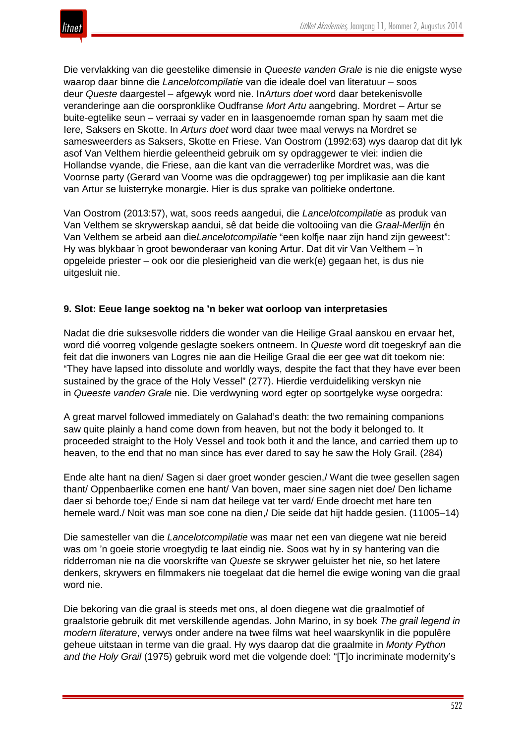

Die vervlakking van die geestelike dimensie in *Queeste vanden Grale* is nie die enigste wyse waarop daar binne die *Lancelotcompilatie* van die ideale doel van literatuur – soos deur *Queste* daargestel – afgewyk word nie. In*Arturs doet* word daar betekenisvolle veranderinge aan die oorspronklike Oudfranse *Mort Artu* aangebring. Mordret – Artur se buite-egtelike seun – verraai sy vader en in laasgenoemde roman span hy saam met die Iere, Saksers en Skotte. In *Arturs doet* word daar twee maal verwys na Mordret se samesweerders as Saksers, Skotte en Friese. Van Oostrom (1992:63) wys daarop dat dit lyk asof Van Velthem hierdie geleentheid gebruik om sy opdraggewer te vlei: indien die Hollandse vyande, die Friese, aan die kant van die verraderlike Mordret was, was die Voornse party (Gerard van Voorne was die opdraggewer) tog per implikasie aan die kant van Artur se luisterryke monargie. Hier is dus sprake van politieke ondertone.

Van Oostrom (2013:57), wat, soos reeds aangedui, die *Lancelotcompilatie* as produk van Van Velthem se skrywerskap aandui, sê dat beide die voltooiing van die *Graal-Merlijn* én Van Velthem se arbeid aan die*Lancelotcompilatie* "een kolfje naar zijn hand zijn geweest": Hy was blykbaar 'n groot bewonderaar van koning Artur. Dat dit vir Van Velthem – 'n opgeleide priester – ook oor die plesierigheid van die werk(e) gegaan het, is dus nie uitgesluit nie.

## **9. Slot: Eeue lange soektog na 'n beker wat oorloop van interpretasies**

Nadat die drie suksesvolle ridders die wonder van die Heilige Graal aanskou en ervaar het, word dié voorreg volgende geslagte soekers ontneem. In *Queste* word dit toegeskryf aan die feit dat die inwoners van Logres nie aan die Heilige Graal die eer gee wat dit toekom nie: "They have lapsed into dissolute and worldly ways, despite the fact that they have ever been sustained by the grace of the Holy Vessel" (277). Hierdie verduideliking verskyn nie in *Queeste vanden Grale* nie. Die verdwyning word egter op soortgelyke wyse oorgedra:

A great marvel followed immediately on Galahad's death: the two remaining companions saw quite plainly a hand come down from heaven, but not the body it belonged to. It proceeded straight to the Holy Vessel and took both it and the lance, and carried them up to heaven, to the end that no man since has ever dared to say he saw the Holy Grail. (284)

Ende alte hant na dien/ Sagen si daer groet wonder gescien,/ Want die twee gesellen sagen thant/ Oppenbaerlike comen ene hant/ Van boven, maer sine sagen niet doe/ Den lichame daer si behorde toe;/ Ende si nam dat heilege vat ter vard/ Ende droecht met hare ten hemele ward./ Noit was man soe cone na dien,/ Die seide dat hijt hadde gesien. (11005–14)

Die samesteller van die *Lancelotcompilatie* was maar net een van diegene wat nie bereid was om 'n goeie storie vroegtydig te laat eindig nie. Soos wat hy in sy hantering van die ridderroman nie na die voorskrifte van *Queste* se skrywer geluister het nie, so het latere denkers, skrywers en filmmakers nie toegelaat dat die hemel die ewige woning van die graal word nie.

Die bekoring van die graal is steeds met ons, al doen diegene wat die graalmotief of graalstorie gebruik dit met verskillende agendas. John Marino, in sy boek *The grail legend in modern literature*, verwys onder andere na twee films wat heel waarskynlik in die populêre geheue uitstaan in terme van die graal. Hy wys daarop dat die graalmite in *Monty Python and the Holy Grail* (1975) gebruik word met die volgende doel: "[T]o incriminate modernity's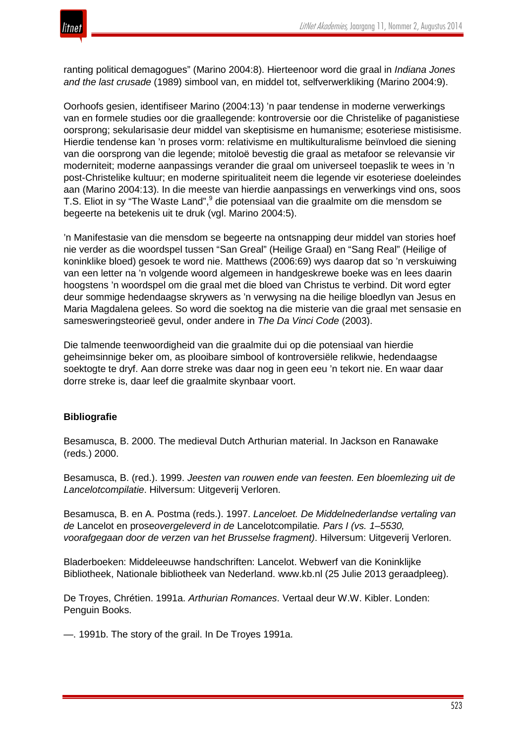

ranting political demagogues" (Marino 2004:8). Hierteenoor word die graal in *Indiana Jones and the last crusade* (1989) simbool van, en middel tot, selfverwerkliking (Marino 2004:9).

Oorhoofs gesien, identifiseer Marino (2004:13) 'n paar tendense in moderne verwerkings van en formele studies oor die graallegende: kontroversie oor die Christelike of paganistiese oorsprong; sekularisasie deur middel van skeptisisme en humanisme; esoteriese mistisisme. Hierdie tendense kan 'n proses vorm: relativisme en multikulturalisme beïnvloed die siening van die oorsprong van die legende; mitoloë bevestig die graal as metafoor se relevansie vir moderniteit; moderne aanpassings verander die graal om universeel toepaslik te wees in 'n post-Christelike kultuur; en moderne spiritualiteit neem die legende vir esoteriese doeleindes aan (Marino 2004:13). In die meeste van hierdie aanpassings en verwerkings vind ons, soos T.S. Eliot in sy "The Waste Land",<sup>9</sup> die potensiaal van die graalmite om die mensdom se begeerte na betekenis uit te druk (vgl. Marino 2004:5).

'n Manifestasie van die mensdom se begeerte na ontsnapping deur middel van stories hoef nie verder as die woordspel tussen "San Greal" (Heilige Graal) en "Sang Real" (Heilige of koninklike bloed) gesoek te word nie. Matthews (2006:69) wys daarop dat so 'n verskuiwing van een letter na 'n volgende woord algemeen in handgeskrewe boeke was en lees daarin hoogstens 'n woordspel om die graal met die bloed van Christus te verbind. Dit word egter deur sommige hedendaagse skrywers as 'n verwysing na die heilige bloedlyn van Jesus en Maria Magdalena gelees. So word die soektog na die misterie van die graal met sensasie en samesweringsteorieë gevul, onder andere in *The Da Vinci Code* (2003).

Die talmende teenwoordigheid van die graalmite dui op die potensiaal van hierdie geheimsinnige beker om, as plooibare simbool of kontroversiële relikwie, hedendaagse soektogte te dryf. Aan dorre streke was daar nog in geen eeu 'n tekort nie. En waar daar dorre streke is, daar leef die graalmite skynbaar voort.

### **Bibliografie**

Besamusca, B. 2000. The medieval Dutch Arthurian material. In Jackson en Ranawake (reds.) 2000.

Besamusca, B. (red.). 1999. *Jeesten van rouwen ende van feesten. Een bloemlezing uit de Lancelotcompilatie*. Hilversum: Uitgeverij Verloren.

Besamusca, B. en A. Postma (reds.). 1997. *Lanceloet. De Middelnederlandse vertaling van de* Lancelot en prose*overgeleverd in de* Lancelotcompilatie*. Pars I (vs. 1–5530, voorafgegaan door de verzen van het Brusselse fragment)*. Hilversum: Uitgeverij Verloren.

Bladerboeken: Middeleeuwse handschriften: Lancelot. Webwerf van die Koninklijke Bibliotheek, Nationale bibliotheek van Nederland. www.kb.nl (25 Julie 2013 geraadpleeg).

De Troyes, Chrétien. 1991a. *Arthurian Romances*. Vertaal deur W.W. Kibler. Londen: Penguin Books.

—. 1991b. The story of the grail. In De Troyes 1991a.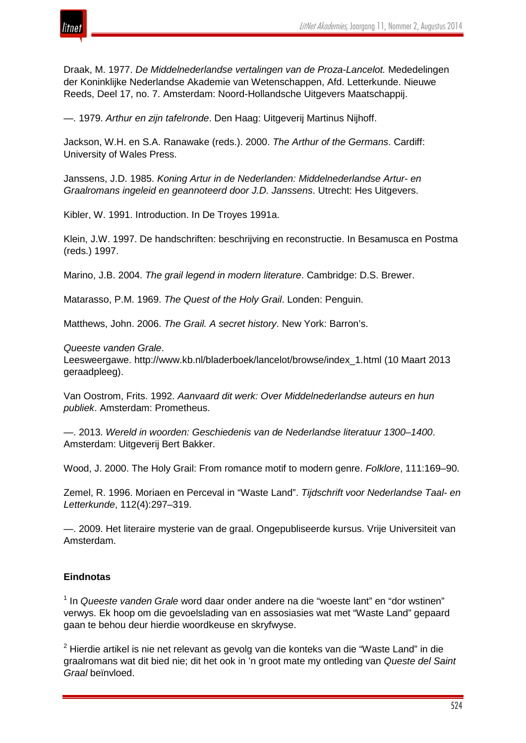

Draak, M. 1977. *De Middelnederlandse vertalingen van de Proza-Lancelot.* Mededelingen der Koninklijke Nederlandse Akademie van Wetenschappen, Afd. Letterkunde. Nieuwe Reeds, Deel 17, no. 7. Amsterdam: Noord-Hollandsche Uitgevers Maatschappij.

—. 1979. *Arthur en zijn tafelronde*. Den Haag: Uitgeverij Martinus Nijhoff.

Jackson, W.H. en S.A. Ranawake (reds.). 2000. *The Arthur of the Germans*. Cardiff: University of Wales Press.

Janssens, J.D. 1985. *Koning Artur in de Nederlanden: Middelnederlandse Artur- en Graalromans ingeleid en geannoteerd door J.D. Janssens*. Utrecht: Hes Uitgevers.

Kibler, W. 1991. Introduction. In De Troyes 1991a.

Klein, J.W. 1997. De handschriften: beschrijving en reconstructie. In Besamusca en Postma (reds.) 1997.

Marino, J.B. 2004. *The grail legend in modern literature*. Cambridge: D.S. Brewer.

Matarasso, P.M. 1969. *The Quest of the Holy Grail*. Londen: Penguin.

Matthews, John. 2006. *The Grail. A secret history*. New York: Barron's.

#### *Queeste vanden Grale*.

Leesweergawe. http://www.kb.nl/bladerboek/lancelot/browse/index\_1.html (10 Maart 2013 geraadpleeg).

Van Oostrom, Frits. 1992. *Aanvaard dit werk: Over Middelnederlandse auteurs en hun publiek*. Amsterdam: Prometheus.

—. 2013. *Wereld in woorden: Geschiedenis van de Nederlandse literatuur 1300–1400*. Amsterdam: Uitgeverij Bert Bakker.

Wood, J. 2000. The Holy Grail: From romance motif to modern genre. *Folklore*, 111:169–90.

Zemel, R. 1996. Moriaen en Perceval in "Waste Land". *Tijdschrift voor Nederlandse Taal- en Letterkunde*, 112(4):297–319.

—. 2009. Het literaire mysterie van de graal. Ongepubliseerde kursus. Vrije Universiteit van Amsterdam.

### **Eindnotas**

<sup>1</sup> In *Queeste vanden Grale* word daar onder andere na die "woeste lant" en "dor wstinen" verwys. Ek hoop om die gevoelslading van en assosiasies wat met "Waste Land" gepaard gaan te behou deur hierdie woordkeuse en skryfwyse.

 $2$  Hierdie artikel is nie net relevant as gevolg van die konteks van die "Waste Land" in die graalromans wat dit bied nie; dit het ook in 'n groot mate my ontleding van *Queste del Saint Graal* beïnvloed.